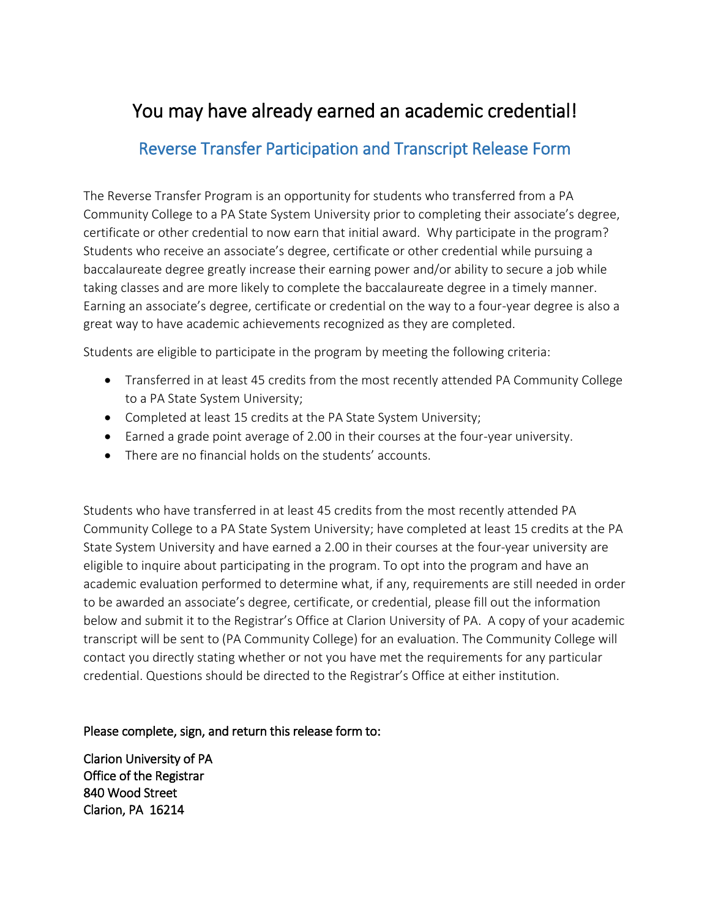## You may have already earned an academic credential!

## Reverse Transfer Participation and Transcript Release Form

The Reverse Transfer Program is an opportunity for students who transferred from a PA Community College to a PA State System University prior to completing their associate's degree, certificate or other credential to now earn that initial award. Why participate in the program? Students who receive an associate's degree, certificate or other credential while pursuing a baccalaureate degree greatly increase their earning power and/or ability to secure a job while taking classes and are more likely to complete the baccalaureate degree in a timely manner. Earning an associate's degree, certificate or credential on the way to a four-year degree is also a great way to have academic achievements recognized as they are completed.

Students are eligible to participate in the program by meeting the following criteria:

- Transferred in at least 45 credits from the most recently attended PA Community College to a PA State System University;
- Completed at least 15 credits at the PA State System University;
- Earned a grade point average of 2.00 in their courses at the four-year university.
- There are no financial holds on the students' accounts.

Students who have transferred in at least 45 credits from the most recently attended PA Community College to a PA State System University; have completed at least 15 credits at the PA State System University and have earned a 2.00 in their courses at the four-year university are eligible to inquire about participating in the program. To opt into the program and have an academic evaluation performed to determine what, if any, requirements are still needed in order to be awarded an associate's degree, certificate, or credential, please fill out the information below and submit it to the Registrar's Office at Clarion University of PA. A copy of your academic transcript will be sent to (PA Community College) for an evaluation. The Community College will contact you directly stating whether or not you have met the requirements for any particular credential. Questions should be directed to the Registrar's Office at either institution.

Please complete, sign, and return this release form to:

Clarion University of PA Office of the Registrar 840 Wood Street Clarion, PA 16214